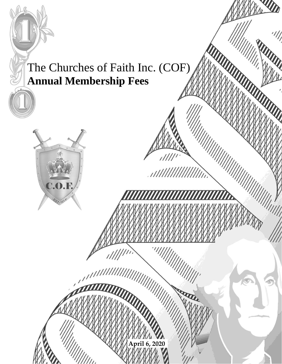